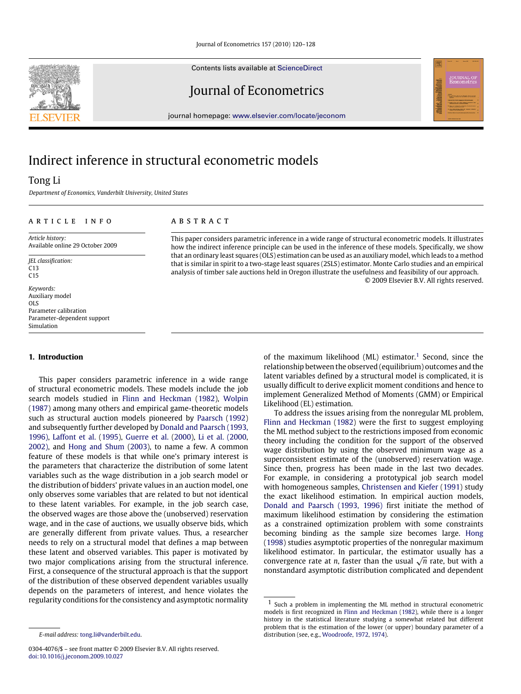Contents lists available at [ScienceDirect](http://www.elsevier.com/locate/jeconom)

Journal of Econometrics

journal homepage: [www.elsevier.com/locate/jeconom](http://www.elsevier.com/locate/jeconom)

# Indirect inference in structural econometric models

## Tong Li

*Department of Economics, Vanderbilt University, United States*

#### ARTICLE INFO

*Article history:* Available online 29 October 2009

*JEL classification:* C13  $C<sub>15</sub>$ 

*Keywords:* Auxiliary model OLS Parameter calibration Parameter-dependent support Simulation

### **1. Introduction**

This paper considers parametric inference in a wide range of structural econometric models. These models include the job search models studied in [Flinn](#page--1-0) [and](#page--1-0) [Heckman](#page--1-0) [\(1982\)](#page--1-0), [Wolpin](#page--1-1) [\(1987\)](#page--1-1) among many others and empirical game-theoretic models such as structural auction models pioneered by [Paarsch](#page--1-2) [\(1992\)](#page--1-2) and subsequently further developed by [Donald](#page--1-3) [and](#page--1-3) [Paarsch](#page--1-3) [\(1993,](#page--1-3) [1996\),](#page--1-4) [Laffont](#page--1-5) [et al.](#page--1-5) [\(1995\)](#page--1-5), [Guerre](#page--1-6) [et al.](#page--1-6) [\(2000\)](#page--1-6), [Li](#page--1-7) [et al.](#page--1-7) [\(2000,](#page--1-7) [2002\),](#page--1-8) and [Hong](#page--1-9) [and](#page--1-9) [Shum](#page--1-9) [\(2003\)](#page--1-9), to name a few. A common feature of these models is that while one's primary interest is the parameters that characterize the distribution of some latent variables such as the wage distribution in a job search model or the distribution of bidders' private values in an auction model, one only observes some variables that are related to but not identical to these latent variables. For example, in the job search case, the observed wages are those above the (unobserved) reservation wage, and in the case of auctions, we usually observe bids, which are generally different from private values. Thus, a researcher needs to rely on a structural model that defines a map between these latent and observed variables. This paper is motivated by two major complications arising from the structural inference. First, a consequence of the structural approach is that the support of the distribution of these observed dependent variables usually depends on the parameters of interest, and hence violates the regularity conditions for the consistency and asymptotic normality

#### a b s t r a c t

This paper considers parametric inference in a wide range of structural econometric models. It illustrates how the indirect inference principle can be used in the inference of these models. Specifically, we show that an ordinary least squares (OLS) estimation can be used as an auxiliary model, which leads to a method that is similar in spirit to a two-stage least squares (2SLS) estimator. Monte Carlo studies and an empirical analysis of timber sale auctions held in Oregon illustrate the usefulness and feasibility of our approach. © 2009 Elsevier B.V. All rights reserved.

> of the maximum likelihood (ML) estimator.<sup>[1](#page-0-0)</sup> Second, since the relationship between the observed (equilibrium) outcomes and the latent variables defined by a structural model is complicated, it is usually difficult to derive explicit moment conditions and hence to implement Generalized Method of Moments (GMM) or Empirical Likelihood (EL) estimation.

> To address the issues arising from the nonregular ML problem, [Flinn](#page--1-0) [and](#page--1-0) [Heckman](#page--1-0) [\(1982\)](#page--1-0) were the first to suggest employing the ML method subject to the restrictions imposed from economic theory including the condition for the support of the observed wage distribution by using the observed minimum wage as a superconsistent estimate of the (unobserved) reservation wage. Since then, progress has been made in the last two decades. For example, in considering a prototypical job search model with homogeneous samples, [Christensen](#page--1-10) [and](#page--1-10) [Kiefer](#page--1-10) [\(1991\)](#page--1-10) study the exact likelihood estimation. In empirical auction models, [Donald](#page--1-3) [and](#page--1-3) [Paarsch](#page--1-3) [\(1993,](#page--1-3) [1996\)](#page--1-4) first initiate the method of maximum likelihood estimation by considering the estimation as a constrained optimization problem with some constraints becoming binding as the sample size becomes large. [Hong](#page--1-11) [\(1998\)](#page--1-11) studies asymptotic properties of the nonregular maximum likelihood estimator. In particular, the estimator usually has a likelihood estimator. In particular, the estimator usually has a<br>convergence rate at *n*, faster than the usual  $\sqrt{n}$  rate, but with a nonstandard asymptotic distribution complicated and dependent



*E-mail address:* [tong.li@vanderbilt.edu.](mailto:tong.li@vanderbilt.edu)

<sup>0304-4076/\$ –</sup> see front matter © 2009 Elsevier B.V. All rights reserved. [doi:10.1016/j.jeconom.2009.10.027](http://dx.doi.org/10.1016/j.jeconom.2009.10.027)

<span id="page-0-0"></span> $1$  Such a problem in implementing the ML method in structural econometric models is first recognized in [Flinn](#page--1-0) [and](#page--1-0) [Heckman](#page--1-0) [\(1982\)](#page--1-0), while there is a longer history in the statistical literature studying a somewhat related but different problem that is the estimation of the lower (or upper) boundary parameter of a distribution (see, e.g., [Woodroofe,](#page--1-12) [1972,](#page--1-12) [1974\)](#page--1-12).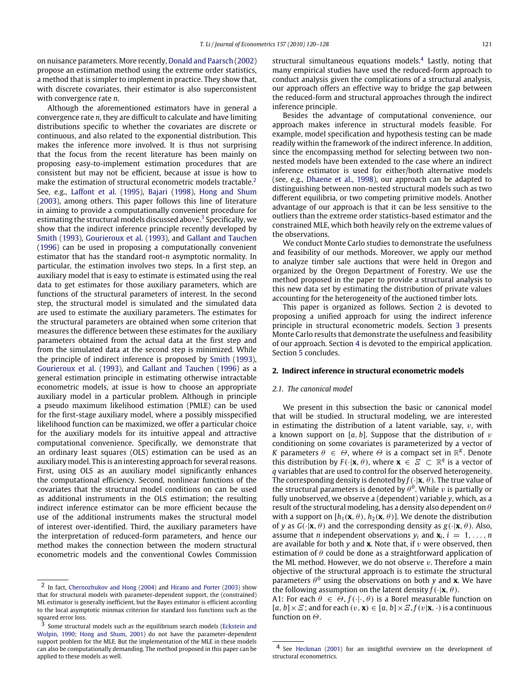on nuisance parameters. More recently, [Donald](#page--1-13) [and](#page--1-13) [Paarsch](#page--1-13) [\(2002\)](#page--1-13) propose an estimation method using the extreme order statistics, a method that is simpler to implement in practice. They show that, with discrete covariates, their estimator is also superconsistent with convergence rate *n*.

Although the aforementioned estimators have in general a convergence rate *n*, they are difficult to calculate and have limiting distributions specific to whether the covariates are discrete or continuous, and also related to the exponential distribution. This makes the inference more involved. It is thus not surprising that the focus from the recent literature has been mainly on proposing easy-to-implement estimation procedures that are consistent but may not be efficient, because at issue is how to make the estimation of structural econometric models tractable.<sup>[2](#page-1-0)</sup> See, e.g., [Laffont](#page--1-5) [et al.](#page--1-5) [\(1995\)](#page--1-5), [Bajari](#page--1-14) [\(1998\)](#page--1-14), [Hong](#page--1-9) [and](#page--1-9) [Shum](#page--1-9) [\(2003\)](#page--1-9), among others. This paper follows this line of literature in aiming to provide a computationally convenient procedure for estimating the structural models discussed above.<sup>[3](#page-1-1)</sup> Specifically, we show that the indirect inference principle recently developed by [Smith](#page--1-15) [\(1993\)](#page--1-15), [Gourieroux](#page--1-16) [et al.](#page--1-16) [\(1993\)](#page--1-16), and [Gallant](#page--1-17) [and](#page--1-17) [Tauchen](#page--1-17) [\(1996\)](#page--1-17) can be used in proposing a computationally convenient estimator that has the standard root-*n* asymptotic normality. In particular, the estimation involves two steps. In a first step, an auxiliary model that is easy to estimate is estimated using the real data to get estimates for those auxiliary parameters, which are functions of the structural parameters of interest. In the second step, the structural model is simulated and the simulated data are used to estimate the auxiliary parameters. The estimates for the structural parameters are obtained when some criterion that measures the difference between these estimates for the auxiliary parameters obtained from the actual data at the first step and from the simulated data at the second step is minimized. While the principle of indirect inference is proposed by [Smith](#page--1-15) [\(1993\)](#page--1-15), [Gourieroux](#page--1-16) [et al.](#page--1-16) [\(1993\)](#page--1-16), and [Gallant](#page--1-17) [and](#page--1-17) [Tauchen](#page--1-17) [\(1996\)](#page--1-17) as a general estimation principle in estimating otherwise intractable econometric models, at issue is how to choose an appropriate auxiliary model in a particular problem. Although in principle a pseudo maximum likelihood estimation (PMLE) can be used for the first-stage auxiliary model, where a possibly misspecified likelihood function can be maximized, we offer a particular choice for the auxiliary models for its intuitive appeal and attractive computational convenience. Specifically, we demonstrate that an ordinary least squares (OLS) estimation can be used as an auxiliary model. This is an interesting approach for several reasons. First, using OLS as an auxiliary model significantly enhances the computational efficiency. Second, nonlinear functions of the covariates that the structural model conditions on can be used as additional instruments in the OLS estimation; the resulting indirect inference estimator can be more efficient because the use of the additional instruments makes the structural model of interest over-identified. Third, the auxiliary parameters have the interpretation of reduced-form parameters, and hence our method makes the connection between the modern structural econometric models and the conventional Cowles Commission

structural simultaneous equations models.<sup>[4](#page-1-2)</sup> Lastly, noting that many empirical studies have used the reduced-form approach to conduct analysis given the complications of a structural analysis, our approach offers an effective way to bridge the gap between the reduced-form and structural approaches through the indirect inference principle.

Besides the advantage of computational convenience, our approach makes inference in structural models feasible. For example, model specification and hypothesis testing can be made readily within the framework of the indirect inference. In addition, since the encompassing method for selecting between two nonnested models have been extended to the case where an indirect inference estimator is used for either/both alternative models (see, e.g., [Dhaene](#page--1-22) [et al.,](#page--1-22) [1998\)](#page--1-22), our approach can be adapted to distinguishing between non-nested structural models such as two different equilibria, or two competing primitive models. Another advantage of our approach is that it can be less sensitive to the outliers than the extreme order statistics-based estimator and the constrained MLE, which both heavily rely on the extreme values of the observations.

We conduct Monte Carlo studies to demonstrate the usefulness and feasibility of our methods. Moreover, we apply our method to analyze timber sale auctions that were held in Oregon and organized by the Oregon Department of Forestry. We use the method proposed in the paper to provide a structural analysis to this new data set by estimating the distribution of private values accounting for the heterogeneity of the auctioned timber lots.

This paper is organized as follows. Section [2](#page-1-3) is devoted to proposing a unified approach for using the indirect inference principle in structural econometric models. Section [3](#page--1-23) presents Monte Carlo results that demonstrate the usefulness and feasibility of our approach. Section [4](#page--1-24) is devoted to the empirical application. Section [5](#page--1-25) concludes.

#### <span id="page-1-3"></span>**2. Indirect inference in structural econometric models**

### *2.1. The canonical model*

We present in this subsection the basic or canonical model that will be studied. In structural modeling, we are interested in estimating the distribution of a latent variable, say,  $v$ , with a known support on  $[a, b]$ . Suppose that the distribution of  $v$ conditioning on some covariates is parameterized by a vector of *K* parameters  $\theta \in \Theta$ , where  $\Theta$  is a compact set in  $\mathbb{R}^K$ . Denote this distribution by  $F(\cdot|\mathbf{x}, \theta)$ , where  $\mathbf{x} \in \mathcal{F} \subset \mathbb{R}^q$  is a vector of *q* variables that are used to control for the observed heterogeneity. The corresponding density is denoted by  $f(\cdot|\mathbf{x}, \theta)$ . The true value of the structural parameters is denoted by  $\theta^0$ . While v is partially or fully unobserved, we observe a (dependent) variable *y*, which, as a result of the structural modeling, has a density also dependent on  $\theta$ with a support on  $[h_1(\mathbf{x}, \theta), h_2(\mathbf{x}, \theta)]$ . We denote the distribution of *y* as  $G(\cdot|\mathbf{x}, \theta)$  and the corresponding density as  $g(\cdot|\mathbf{x}, \theta)$ . Also, assume that *n* independent observations  $y_i$  and  $\mathbf{x}_i$ ,  $i = 1, \ldots, n$ are available for both  $\nu$  and  $x$ . Note that, if  $\nu$  were observed, then estimation of  $\theta$  could be done as a straightforward application of the ML method. However, we do not observe  $v$ . Therefore a main objective of the structural approach is to estimate the structural parameters  $\theta^0$  using the observations on both *y* and **x**. We have the following assumption on the latent density  $f(\cdot|\mathbf{x}, \theta)$ .

A1: For each  $\theta \in \Theta$ ,  $f(\cdot | \cdot, \theta)$  is a Borel measurable function on  $[a, b] \times E$ ; and for each  $(v, \mathbf{x}) \in [a, b] \times E$ ,  $f(v|\mathbf{x}, \cdot)$  is a continuous function on  $\Theta$ .

<span id="page-1-0"></span><sup>2</sup> In fact, [Chernozhukov](#page--1-18) [and](#page--1-18) [Hong](#page--1-18) [\(2004\)](#page--1-18) and [Hirano](#page--1-19) [and](#page--1-19) [Porter](#page--1-19) [\(2003\)](#page--1-19) show that for structural models with parameter-dependent support, the (constrained) ML estimator is generally inefficient, but the Bayes estimator is efficient according to the local asymptotic minmax criterion for standard loss functions such as the squared error loss.

<span id="page-1-1"></span><sup>3</sup> Some structural models such as the equilibrium search models [\(Eckstein](#page--1-20) [and](#page--1-20) [Wolpin,](#page--1-20) [1990;](#page--1-20) [Hong](#page--1-21) [and](#page--1-21) [Shum,](#page--1-21) [2001\)](#page--1-21) do not have the parameter-dependent support problem for the MLE. But the implementation of the MLE in these models can also be computationally demanding. The method proposed in this paper can be applied to these models as well.

<span id="page-1-2"></span><sup>4</sup> See [Heckman](#page--1-26) [\(2001\)](#page--1-26) for an insightful overview on the development of structural econometrics.